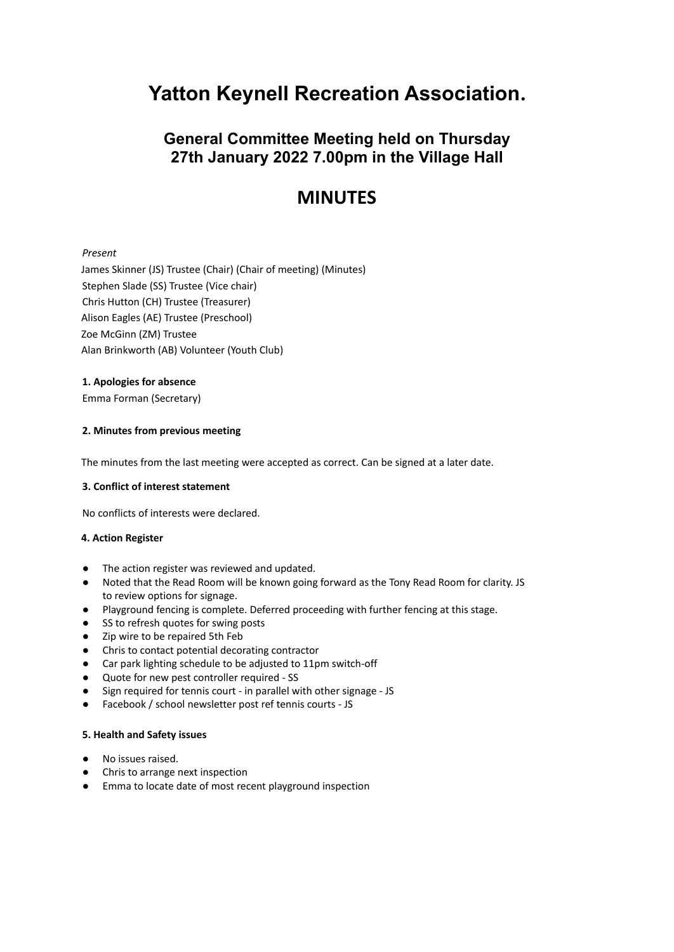# **Yatton Keynell Recreation Association.**

# **General Committee Meeting held on Thursday 27th January 2022 7.00pm in the Village Hall**

# **MINUTES**

# *Present*

James Skinner (JS) Trustee (Chair) (Chair of meeting) (Minutes) Stephen Slade (SS) Trustee (Vice chair) Chris Hutton (CH) Trustee (Treasurer) Alison Eagles (AE) Trustee (Preschool) Zoe McGinn (ZM) Trustee Alan Brinkworth (AB) Volunteer (Youth Club)

## **1. Apologies for absence**

Emma Forman (Secretary)

## **2. Minutes from previous meeting**

The minutes from the last meeting were accepted as correct. Can be signed at a later date.

### **3. Conflict of interest statement**

No conflicts of interests were declared.

### **4. Action Register**

- The action register was reviewed and updated.
- Noted that the Read Room will be known going forward as the Tony Read Room for clarity. JS to review options for signage.
- Playground fencing is complete. Deferred proceeding with further fencing at this stage.
- SS to refresh quotes for swing posts
- Zip wire to be repaired 5th Feb
- Chris to contact potential decorating contractor
- Car park lighting schedule to be adjusted to 11pm switch-off
- Quote for new pest controller required SS
- Sign required for tennis court in parallel with other signage JS
- Facebook / school newsletter post ref tennis courts JS

### **5. Health and Safety issues**

- No issues raised.
- Chris to arrange next inspection
- Emma to locate date of most recent playground inspection